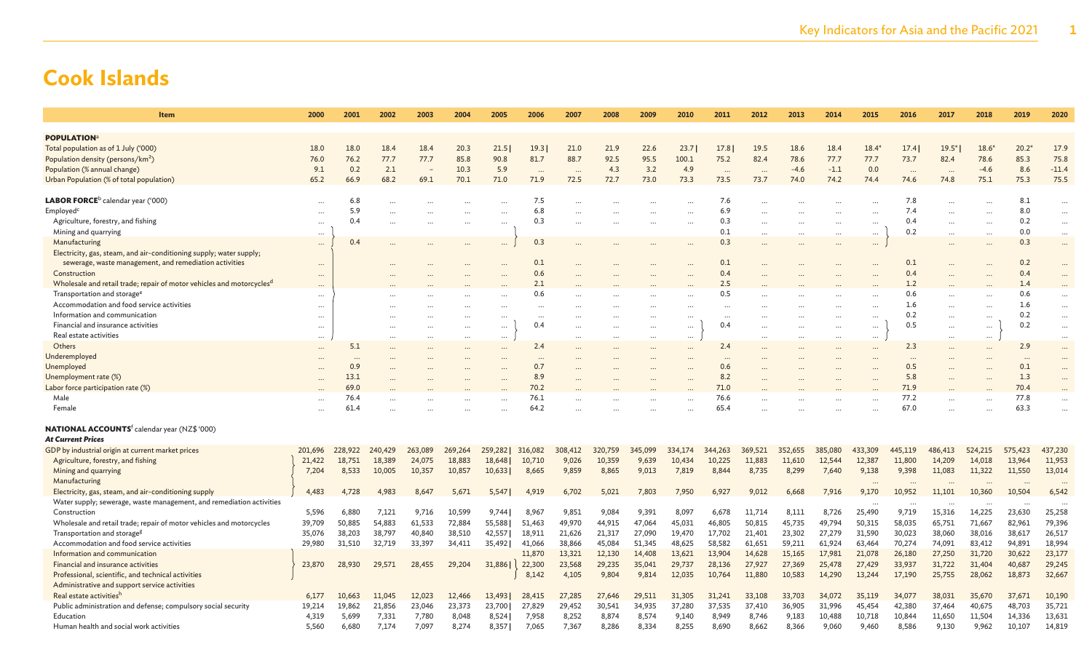| Item                                                                              | 2000     | 2001     | 2002    | 2003    | 2004    | 2005     | 2006      | 2007    | 2008    | 2009    | 2010    | 2011                 | 2012      | 2013    | 2014     | 2015     | 2016      | 2017    | 2018      | 2019    | 2020      |
|-----------------------------------------------------------------------------------|----------|----------|---------|---------|---------|----------|-----------|---------|---------|---------|---------|----------------------|-----------|---------|----------|----------|-----------|---------|-----------|---------|-----------|
|                                                                                   |          |          |         |         |         |          |           |         |         |         |         |                      |           |         |          |          |           |         |           |         |           |
| <b>POPULATION</b>                                                                 |          |          |         |         |         |          |           |         |         |         |         |                      |           |         |          |          |           |         |           |         |           |
| Total population as of 1 July ('000)                                              | 18.0     | 18.0     | 18.4    | 18.4    | 20.3    | 21.5     | 19.3      | 21.0    | 21.9    | 22.6    | 23.7    | 17.8                 | 19.5      | 18.6    | 18.4     | $18.4*$  | 17.4      | $19.5*$ | $18.6*$   | $20.2*$ | 17.9      |
| Population density (persons/km <sup>2</sup> )                                     | 76.0     | 76.2     | 77.7    | 77.7    | 85.8    | 90.8     | 81.7      | 88.7    | 92.5    | 95.5    | 100.1   | 75.2                 | 82.4      | 78.6    | 77.7     | 77.7     | 73.7      | 82.4    | 78.6      | 85.3    | 75.8      |
| Population (% annual change)                                                      | 9.1      | 0.2      | 2.1     |         | 10.3    | 5.9      | $\ddotsc$ |         | 4.3     | 3.2     | 4.9     | $\ddot{\phantom{a}}$ |           | $-4.6$  | $-1.1$   | 0.0      | $\ddotsc$ |         | $-4.6$    | 8.6     | $-11.4$   |
| Urban Population (% of total population)                                          | 65.2     | 66.9     | 68.2    | 69.1    | 70.1    | 71.0     | 71.9      | 72.5    | 72.7    | 73.0    | 73.3    | 73.5                 | 73.7      | 74.0    | 74.2     | 74.4     | 74.6      | 74.8    | 75.1      | 75.3    | 75.5      |
|                                                                                   |          |          |         |         |         |          |           |         |         |         |         |                      |           |         |          |          |           |         |           |         |           |
| LABOR FORCE <sup>b</sup> calendar year ('000)                                     |          | 6.8      |         |         |         |          | 7.5       |         |         |         |         | 7.6                  |           |         |          |          | 7.8       |         | $\ddotsc$ | 8.1     |           |
| Employed <sup>c</sup>                                                             |          | 5.9      |         |         |         |          | 6.8       |         |         |         |         | 6.9                  | $\ddotsc$ |         |          |          | 7.4       |         |           | 8.0     |           |
| Agriculture, forestry, and fishing                                                |          | 0.4      |         |         |         |          | 0.3       |         |         |         |         | 0.3                  | $\cdots$  |         |          |          | 0.4       |         | $\cdots$  | 0.2     | $\cdots$  |
| Mining and quarrying                                                              |          |          |         |         |         |          |           |         |         |         |         | 0.1                  | $\cdots$  |         | $\cdots$ | $\cdots$ | 0.2       |         | $\cdots$  | 0.0     | $\cdots$  |
| Manufacturing                                                                     | $\cdots$ | 0.4      |         |         |         | $\cdots$ | 0.3       |         |         |         |         | 0.3                  |           |         | $\cdots$ | $\cdots$ |           |         | $\ddotsc$ | 0.3     |           |
| Electricity, gas, steam, and air-conditioning supply; water supply;               |          |          |         |         |         |          |           |         |         |         |         |                      |           |         |          |          |           |         |           |         |           |
| sewerage, waste management, and remediation activities                            |          |          |         |         |         |          | 0.1       |         |         |         |         | 0.1                  |           |         |          |          | 0.1       |         |           | 0.2     |           |
| Construction                                                                      |          |          |         |         |         |          | 0.6       |         |         |         |         | 0.4                  |           |         |          |          | 0.4       |         |           | 0.4     |           |
| Wholesale and retail trade; repair of motor vehicles and motorcycles <sup>d</sup> |          |          |         |         |         |          | 2.1       |         |         |         |         | 2.5                  |           |         |          |          | 1.2       |         |           | 1.4     |           |
| Transportation and storage <sup>e</sup>                                           | $\cdots$ |          |         |         |         |          | 0.6       |         |         |         |         | 0.5                  |           |         |          |          | 0.6       |         |           | 0.6     |           |
| Accommodation and food service activities                                         |          |          |         |         |         |          |           |         |         |         |         |                      |           |         |          |          | 1.6       |         |           | 1.6     |           |
| Information and communication                                                     |          |          |         |         |         | $\cdots$ |           |         |         |         |         | $\ddotsc$            |           |         |          | $\cdots$ | 0.2       |         |           | 0.2     |           |
| Financial and insurance activities                                                |          |          |         |         |         | $\cdots$ | 0.4       |         |         |         |         | 0.4                  |           |         |          |          | 0.5       |         |           | 0.2     |           |
| Real estate activities                                                            |          |          |         |         |         | $\cdots$ |           |         |         |         |         |                      |           |         |          | $\cdots$ |           |         | $\cdots$  |         |           |
| Others                                                                            |          | 5.1      |         |         |         |          | 2.4       |         |         |         |         | 2.4                  |           |         |          |          | 2.3       |         |           | 2.9     |           |
| Underemployed                                                                     |          | $\cdots$ |         |         |         |          | $\ddotsc$ |         |         |         |         |                      |           |         |          |          |           |         |           |         |           |
| Unemployed                                                                        |          | 0.9      |         |         |         |          | 0.7       |         |         |         |         | 0.6                  |           |         |          |          | 0.5       |         |           | 0.1     | $\ddotsc$ |
| Unemployment rate (%)                                                             |          | 13.1     |         |         |         |          | 8.9       |         |         |         |         | 8.2                  |           |         |          |          | 5.8       |         |           | 1.3     | $\sim$    |
| Labor force participation rate (%)                                                |          | 69.0     |         |         |         |          | 70.2      |         |         |         |         | 71.0                 |           |         |          |          | 71.9      |         |           | 70.4    |           |
| Male                                                                              |          | 76.4     |         |         |         |          | 76.1      |         |         |         |         | 76.6                 |           |         |          |          | 77.2      |         |           | 77.8    |           |
| Female                                                                            |          | 61.4     |         |         |         |          | 64.2      |         |         |         |         | 65.4                 |           |         |          |          | 67.0      |         |           | 63.3    |           |
|                                                                                   |          |          |         |         |         |          |           |         |         |         |         |                      |           |         |          |          |           |         |           |         |           |
| <b>NATIONAL ACCOUNTS</b> f calendar year (NZ\$ '000)                              |          |          |         |         |         |          |           |         |         |         |         |                      |           |         |          |          |           |         |           |         |           |
| <b>At Current Prices</b>                                                          |          |          |         |         |         |          |           |         |         |         |         |                      |           |         |          |          |           |         |           |         |           |
| GDP by industrial origin at current market prices                                 | 201,696  | 228,922  | 240,429 | 263,089 | 269,264 | 259,282  | 316,082   | 308,412 | 320,759 | 345,099 | 334,174 | 344,263              | 369,521   | 352,655 | 385,080  | 433,309  | 445,119   | 486,413 | 524,215   | 575,423 | 437,230   |
| Agriculture, forestry, and fishing                                                | 21,422   | 18,751   | 18,389  | 24,075  | 18,883  | 18,648   | 10,710    | 9,026   | 10,359  | 9,639   | 10,434  | 10,225               | 11,883    | 11,610  | 12,544   | 12,387   | 11,800    | 14,209  | 14,018    | 13,964  | 11,953    |
| Mining and quarrying                                                              | 7,204    | 8,533    | 10,005  | 10,357  | 10,857  | 10,633   | 8,665     | 9,859   | 8,865   | 9,013   | 7,819   | 8,844                | 8,735     | 8,299   | 7,640    | 9,138    | 9,398     | 11,083  | 11,322    | 11,550  | 13,014    |
| Manufacturing                                                                     |          |          |         |         |         |          |           |         |         |         |         |                      |           |         |          |          |           |         |           |         | $\cdots$  |
| Electricity, gas, steam, and air-conditioning supply                              | 4,483    | 4,728    | 4.983   | 8,647   | 5,671   | 5,547    | 4,919     | 6,702   | 5,021   | 7,803   | 7,950   | 6,927                | 9,012     | 6,668   | 7,916    | 9,170    | 10,952    | 11,101  | 10,360    | 10,504  | 6,542     |
| Water supply; sewerage, waste management, and remediation activities              |          |          |         |         |         |          |           |         |         |         |         |                      |           |         |          |          |           |         |           |         |           |
| Construction                                                                      | 5,596    | 6,880    | 7,121   | 9,716   | 10,599  | 9,744    | 8,967     | 9,851   | 9,084   | 9,391   | 8,097   | 6,678                | 11,714    | 8,111   | 8,726    | 25,490   | 9,719     | 15,316  | 14,225    | 23,630  | 25,258    |
| Wholesale and retail trade; repair of motor vehicles and motorcycles              | 39,709   | 50,885   | 54,883  | 61,533  | 72,884  | 55,588   | 51,463    | 49,970  | 44,915  | 47,064  | 45,031  | 46,805               | 50,815    | 45,735  | 49,794   | 50,315   | 58,035    | 65,751  | 71,667    | 82,961  | 79,396    |
| Transportation and storage <sup>g</sup>                                           | 35,076   | 38,203   | 38,797  | 40,840  | 38,510  | 42,557   | 18,911    | 21,626  | 21,317  | 27,090  | 19,470  | 17,702               | 21,401    | 23,302  | 27,279   | 31,590   | 30,023    | 38,060  | 38,016    | 38,617  | 26,517    |
| Accommodation and food service activities                                         | 29,980   | 31,510   | 32,719  | 33,397  | 34,411  | 35,492   | 41,066    | 38,866  | 45,084  | 51,345  | 48,625  | 58,582               | 61,651    | 59,211  | 61,924   | 63,464   | 70,274    | 74,091  | 83,412    | 94,891  | 18,994    |
| Information and communication                                                     |          |          |         |         |         |          | 11,870    | 13,321  | 12,130  | 14,408  | 13,621  | 13,904               | 14,628    | 15,165  | 17,981   | 21,078   | 26,180    | 27,250  | 31,720    | 30,622  | 23,177    |
| Financial and insurance activities                                                | 23,870   | 28,930   | 29,571  | 28,455  | 29,204  | 31,886   | 22,300    | 23,568  | 29,235  | 35,041  | 29,737  | 28,136               | 27,927    | 27,369  | 25,478   | 27,429   | 33,937    | 31,722  | 31,404    | 40,687  | 29,245    |
| Professional, scientific, and technical activities                                |          |          |         |         |         |          | 8,142     | 4,105   | 9,804   | 9,814   | 12,035  | 10,764               | 11,880    | 10,583  | 14,290   | 13,244   | 17,190    | 25,755  | 28,062    | 18,873  | 32,667    |
| Administrative and support service activities                                     |          |          |         |         |         |          |           |         |         |         |         |                      |           |         |          |          |           |         |           |         |           |
| Real estate activitiesh                                                           | 6,177    | 10,663   | 11,045  | 12,023  | 12,466  | 13,493   | 28,415    | 27,285  | 27,646  | 29,511  | 31,305  | 31,241               | 33,108    | 33,703  | 34,072   | 35,119   | 34,077    | 38,031  | 35,670    | 37,671  | 10,190    |
| Public administration and defense; compulsory social security                     | 19,214   | 19.862   | 21,856  | 23,046  | 23,373  | 23,700   | 27,829    | 29,452  | 30,541  | 34,935  | 37,280  | 37,535               | 37,410    | 36,905  | 31,996   | 45,454   | 42,380    | 37,464  | 40,675    | 48,703  | 35,721    |
| Education                                                                         | 4.319    | 5,699    | 7,331   | 7,780   | 8,048   | 8,524    | 7,958     | 8,252   | 8,874   | 8,574   | 9,140   | 8,949                | 8,746     | 9,183   | 10,488   | 10,718   | 10,844    | 11,650  | 11,504    | 14,336  | 13,631    |
| Human health and social work activities                                           | 5,560    | 6,680    | 7,174   | 7,097   | 8,274   | 8,357    | 7,065     | 7,367   | 8,286   | 8,334   | 8,255   | 8,690                | 8,662     | 8,366   | 9,060    | 9,460    | 8,586     | 9,130   | 9,962     | 10,107  | 14,819    |
|                                                                                   |          |          |         |         |         |          |           |         |         |         |         |                      |           |         |          |          |           |         |           |         |           |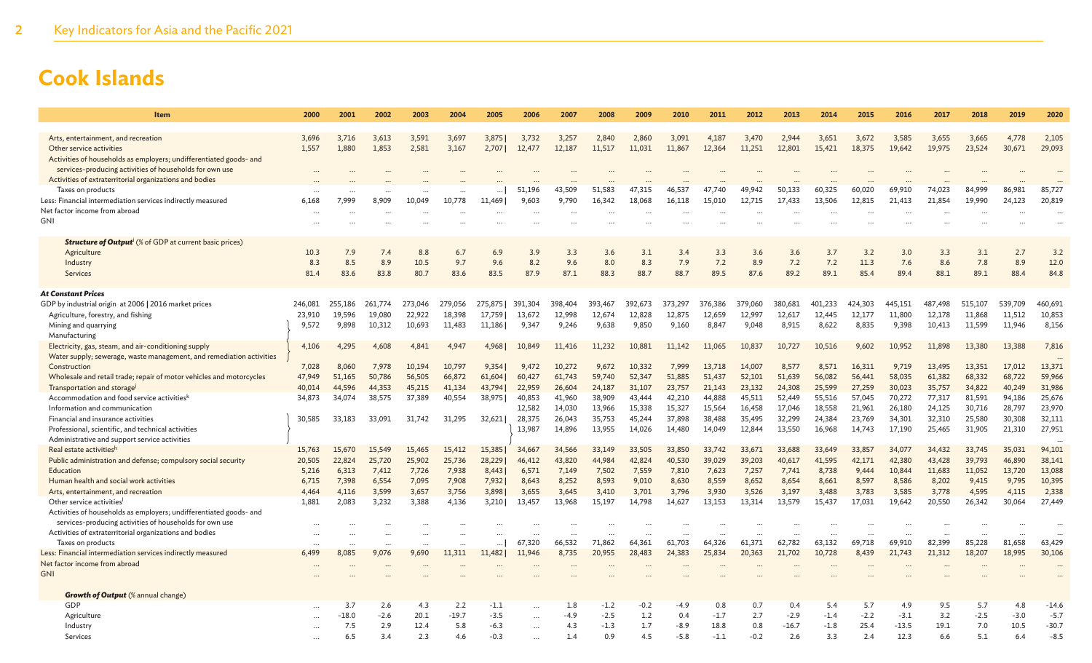| <b>Item</b>                                                                                    | 2000            | 2001            | 2002            | 2003             | 2004             | 2005            | 2006            | 2007             | 2008             | 2009             | 2010            | 2011             | 2012             | 2013            | 2014            | 2015             | 2016            | 2017             | 2018             | 2019             | 2020             |
|------------------------------------------------------------------------------------------------|-----------------|-----------------|-----------------|------------------|------------------|-----------------|-----------------|------------------|------------------|------------------|-----------------|------------------|------------------|-----------------|-----------------|------------------|-----------------|------------------|------------------|------------------|------------------|
|                                                                                                |                 |                 |                 |                  |                  |                 |                 |                  |                  |                  |                 |                  |                  |                 |                 |                  |                 |                  |                  |                  |                  |
| Arts, entertainment, and recreation<br>Other service activities                                | 3,696<br>1.557  | 3,716<br>1.880  | 3,613<br>1.853  | 3,591<br>2.581   | 3,697<br>3,167   | 3,875<br>2,707  | 3,732<br>12,477 | 3,257<br>12,187  | 2.840<br>11,517  | 2,860<br>11.031  | 3,091<br>11,867 | 4,187<br>12.364  | 3,470<br>11.251  | 2.944<br>12,801 | 3,651<br>15,421 | 3,672<br>18,375  | 3,585<br>19.642 | 3,655<br>19,975  | 3,665<br>23,524  | 4,778<br>30,671  | 2,105<br>29,093  |
| Activities of households as employers; undifferentiated goods- and                             |                 |                 |                 |                  |                  |                 |                 |                  |                  |                  |                 |                  |                  |                 |                 |                  |                 |                  |                  |                  |                  |
| services-producing activities of households for own use                                        |                 |                 |                 |                  |                  |                 |                 |                  |                  |                  |                 |                  |                  |                 |                 |                  |                 |                  |                  |                  |                  |
| Activities of extraterritorial organizations and bodies                                        |                 |                 |                 |                  |                  |                 |                 |                  |                  |                  |                 |                  |                  |                 |                 |                  |                 |                  |                  |                  |                  |
| Taxes on products                                                                              |                 |                 |                 |                  |                  |                 | 51,196          | 43,509           | 51,583           | 47,315           | 46.537          | 47.740           | 49.942           | 50,133          | 60,325          | 60.020           | 69,910          | 74,023           | 84,999           | 86,981           | 85,727           |
| Less: Financial intermediation services indirectly measured                                    | 6,168           | 7,999           | 8,909           | 10,049           | 10,778           | 11,469          | 9,603           | 9,790            | 16,342           | 18,068           | 16,118          | 15,010           | 12,715           | 17,433          | 13,506          | 12,815           | 21,413          | 21,854           | 19,990           | 24,123           | 20,819           |
| Net factor income from abroad                                                                  |                 |                 |                 |                  |                  | $\cdots$        |                 |                  |                  |                  |                 |                  |                  |                 |                 |                  |                 |                  |                  |                  |                  |
| GNI                                                                                            |                 |                 |                 |                  |                  |                 |                 |                  |                  |                  |                 |                  |                  |                 |                 |                  |                 |                  |                  |                  |                  |
| <b>Structure of Output<sup>i</sup></b> (% of GDP at current basic prices)                      |                 |                 |                 |                  |                  |                 |                 |                  |                  |                  |                 |                  |                  |                 |                 |                  |                 |                  |                  |                  |                  |
| Agriculture                                                                                    | 10.3            | 7.9             | 7.4             | 8.8              | 6.7              | 6.9             | 3.9             | 3.3              | 3.6              | 3.1              | 3.4             | 3.3              | 3.6              | 3.6             | 3.7             | 3.2              | 3.0             | 3.3              | 3.1              | 2.7              | 3.2              |
| Industry                                                                                       | 8.3             | 8.5             | 8.9             | 10.5             | 9.7              | 9.6             | 8.2             | 9.6              | 8.0              | 8.3              | 7.9             | 7.2              | 8.9              | 7.2             | 7.2             | 11.3             | 7.6             | 8.6              | 7.8              | 8.9              | 12.0             |
| <b>Services</b>                                                                                | 81.4            | 83.6            | 83.8            | 80.7             | 83.6             | 83.5            | 87.9            | 87.1             | 88.3             | 88.7             | 88.7            | 89.5             | 87.6             | 89.2            | 89.1            | 85.4             | 89.4            | 88.1             | 89.1             | 88.4             | 84.8             |
|                                                                                                |                 |                 |                 |                  |                  |                 |                 |                  |                  |                  |                 |                  |                  |                 |                 |                  |                 |                  |                  |                  |                  |
| <b>At Constant Prices</b>                                                                      |                 |                 |                 |                  |                  |                 |                 |                  |                  |                  |                 |                  |                  |                 |                 |                  |                 |                  |                  |                  |                  |
| GDP by industrial origin at 2006   2016 market prices                                          | 246,081         | 255,186         | 261,774         | 273,046          | 279,056          | 275,875         | 391,304         | 398,404          | 393,467          | 392,673          | 373,297         | 376,386          | 379,060          | 380,681         | 401,233         | 424,303          | 445,151         | 487.498          | 515,107          | 539,709          | 460,691          |
| Agriculture, forestry, and fishing                                                             | 23,910          | 19.596          | 19,080          | 22,922           | 18,398           | 17.759          | 13,672          | 12,998           | 12,674           | 12,828           | 12,875          | 12,659           | 12,997           | 12,617          | 12,445          | 12,177           | 11,800          | 12,178           | 11,868           | 11,512           | 10,853           |
| Mining and quarrying                                                                           | 9,572           | 9,898           | 10,312          | 10,693           | 11,483           | 11,186          | 9,347           | 9,246            | 9,638            | 9,850            | 9,160           | 8,847            | 9,048            | 8,915           | 8,622           | 8,835            | 9,398           | 10,413           | 11,599           | 11,946           | 8,156            |
| Manufacturing                                                                                  |                 |                 |                 |                  |                  |                 |                 |                  |                  |                  |                 |                  |                  |                 |                 |                  |                 |                  |                  |                  |                  |
| Electricity, gas, steam, and air-conditioning supply                                           | 4.106           | 4.295           | 4.608           | 4.841            | 4.947            | 4.968           | 10,849          | 11,416           | 11.232           | 10,881           | 11,142          | 11.065           | 10.837           | 10,727          | 10,516          | 9.602            | 10.952          | 11,898           | 13,380           | 13.388           | 7,816            |
| Water supply; sewerage, waste management, and remediation activities                           |                 |                 |                 |                  |                  |                 |                 |                  |                  |                  |                 |                  |                  |                 |                 |                  |                 |                  |                  |                  |                  |
| Construction<br>Wholesale and retail trade; repair of motor vehicles and motorcycles           | 7,028<br>47,949 | 8,060<br>51,165 | 7,978<br>50,786 | 10,194<br>56,505 | 10,797<br>66,872 | 9.354<br>61,604 | 9,472<br>60,427 | 10,272<br>61,743 | 9.672<br>59,740  | 10.332<br>52,347 | 7,999<br>51,885 | 13,718<br>51,437 | 14,007<br>52,101 | 8,577<br>51,639 | 8.571<br>56,082 | 16,311<br>56,441 | 9,719<br>58,035 | 13,495<br>61,382 | 13,351<br>68,332 | 17,012<br>68,722 | 13,371<br>59,966 |
| Transportation and storage                                                                     | 40,014          | 44,596          | 44,353          | 45,215           | 41,134           | 43,794          | 22,959          | 26,604           | 24,187           | 31,107           | 23,757          | 21,143           | 23,132           | 24,308          | 25,599          | 27,259           | 30,023          | 35,757           | 34,822           | 40,249           | 31,986           |
| Accommodation and food service activities <sup>k</sup>                                         | 34,873          | 34,074          | 38,575          | 37,389           | 40,554           | 38,975          | 40,853          | 41,960           | 38,909           | 43,444           | 42,210          | 44,888           | 45,511           | 52,449          | 55,516          | 57,045           | 70,272          | 77,317           | 81,591           | 94,186           | 25,676           |
| Information and communication                                                                  |                 |                 |                 |                  |                  |                 | 12,582          | 14,030           | 13,966           | 15,338           | 15,327          | 15,564           | 16,458           | 17,046          | 18,558          | 21,961           | 26,180          | 24,125           | 30,716           | 28,797           | 23,970           |
| Financial and insurance activities                                                             | 30,585          | 33,183          | 33.091          | 31,742           | 31,295           | 32.621          | 28,375          | 26,043           | 35,753           | 45,244           | 37,898          | 38,488           | 35,495           | 32,299          | 24,384          | 23,769           | 34,301          | 32,310           | 25,580           | 30,308           | 32,111           |
| Professional, scientific, and technical activities                                             |                 |                 |                 |                  |                  |                 | 13,987          | 14,896           | 13,955           | 14,026           | 14,480          | 14,049           | 12,844           | 13,550          | 16,968          | 14,743           | 17,190          | 25,465           | 31,905           | 21,310           | 27,951           |
| Administrative and support service activities                                                  |                 |                 |                 |                  |                  |                 |                 |                  |                  |                  |                 |                  |                  |                 |                 |                  |                 |                  |                  |                  |                  |
| Real estate activitiesh                                                                        | 15,763          | 15,670          | 15,549          | 15,465           | 15,412           | 15,385          | 34,667          | 34,566           | 33,149           | 33,505           | 33,850          | 33,742           | 33,671           | 33,688          | 33,649          | 33,857           | 34,077          | 34,432           | 33,745           | 35,031           | 94,101           |
| Public administration and defense; compulsory social security                                  | 20,505          | 22,824          | 25,720          | 25,902           | 25,736           | 28,229          | 46,412          | 43,820           | 44,984           | 42,824           | 40,530          | 39,029           | 39,203           | 40,617          | 41,595          | 42,171           | 42,380          | 43,428           | 39,793           | 46,890           | 38,141           |
| Education                                                                                      | 5,216           | 6,313           | 7,412           | 7,726            | 7,938            | 8,443           | 6,571           | 7,149            | 7,502            | 7,559            | 7,810           | 7,623            | 7,257            | 7,741           | 8,738           | 9,444            | 10,844          | 11,683           | 11,052           | 13,720           | 13,088           |
| Human health and social work activities                                                        | 6,715           | 7,398           | 6,554           | 7,095            | 7,908            | 7,932           | 8,643           | 8,252            | 8,593            | 9,010            | 8,630           | 8,559            | 8,652            | 8,654           | 8,661           | 8,597            | 8,586           | 8,202            | 9,415            | 9,795            | 10,395           |
| Arts, entertainment, and recreation                                                            | 4,464           | 4,116           | 3,599           | 3,657            | 3,756            | 3,898           | 3,655           | 3,645            | 3,410            | 3,701            | 3,796           | 3,930            | 3,526            | 3,197           | 3,488           | 3,783            | 3,585           | 3,778            | 4,595            | 4,115            | 2,338            |
| Other service activities<br>Activities of households as employers; undifferentiated goods- and | 1,881           | 2,083           | 3,232           | 3,388            | 4,136            | 3,210           | 13,457          | 13,968           | 15,197           | 14.798           | 14,627          | 13,153           | 13.314           | 13,579          | 15,437          | 17,031           | 19,642          | 20,550           | 26,342           | 30,064           | 27,449           |
| services-producing activities of households for own use                                        |                 |                 |                 |                  |                  |                 |                 |                  |                  |                  |                 |                  |                  |                 |                 |                  |                 |                  |                  |                  |                  |
| Activities of extraterritorial organizations and bodies                                        |                 |                 |                 |                  |                  |                 |                 |                  |                  |                  |                 |                  |                  |                 |                 |                  |                 |                  |                  |                  |                  |
| Taxes on products                                                                              |                 |                 |                 |                  |                  |                 | 67,320          | 66,532           | 71,862           | 64,361           | 61,703          | 64,326           | 61.371           | 62,782          | 63,132          | 69,718           | 69,910          | 82,399           | 85,228           | 81,658           | 63,429           |
| Less: Financial intermediation services indirectly measured                                    | 6.499           | 8,085           | 9.076           | 9.690            | 11,311           | 11,482          | 11,946          | 8,735            | 20,955           | 28,483           | 24,383          | 25,834           | 20,363           | 21,702          | 10,728          | 8,439            | 21,743          | 21,312           | 18,207           | 18,995           | 30,106           |
| Net factor income from abroad                                                                  |                 |                 |                 |                  |                  |                 |                 |                  |                  |                  |                 |                  |                  |                 |                 |                  |                 |                  |                  |                  |                  |
| <b>GNI</b>                                                                                     |                 |                 |                 |                  |                  |                 |                 |                  |                  |                  |                 |                  |                  |                 |                 |                  |                 |                  |                  |                  |                  |
|                                                                                                |                 |                 |                 |                  |                  |                 |                 |                  |                  |                  |                 |                  |                  |                 |                 |                  |                 |                  |                  |                  |                  |
| <b>Growth of Output</b> (% annual change)<br>GDP                                               |                 | 3.7             | 2.6             | 4.3              | 2.2              | $-1.1$          |                 | 1.8              |                  | $-0.2$           | -4.9            | 0.8              | 0.7              | 0.4             | 5.4             | 5.7              | 4.9             | 9.5              | 5.7              | 4.8              | $-14.6$          |
| Agriculture                                                                                    |                 | $-18.0$         | $-2.6$          | 20.1             | $-19.7$          | $-3.5$          | $\cdots$        | $-4.9$           | $-1.2$<br>$-2.5$ | 1.2              | 0.4             | $-1.7$           | 2.7              | $-2.9$          | $-1.4$          | $-2.2$           | $-3.1$          | 3.2              | $-2.5$           | $-3.0$           | $-5.7$           |
| Industry                                                                                       |                 | 7.5             | 2.9             | 12.4             | 5.8              | $-6.3$          | $\cdots$        | 4.3              | $-1.3$           | 1.7              | $-8.9$          | 18.8             | 0.8              | $-16.7$         | $-1.8$          | 25.4             | $-13.5$         | 19.1             | 7.0              | 10.5             | $-30.7$          |
| Services                                                                                       |                 | 6.5             | 3.4             | 2.3              | 4.6              | $-0.3$          |                 | 1.4              | 0.9              | 4.5              | $-5.8$          | $-1.1$           | $-0.2$           | 2.6             | 3.3             | 2.4              | 12.3            | 6.6              | 5.1              | 6.4              | $-8.5$           |
|                                                                                                |                 |                 |                 |                  |                  |                 |                 |                  |                  |                  |                 |                  |                  |                 |                 |                  |                 |                  |                  |                  |                  |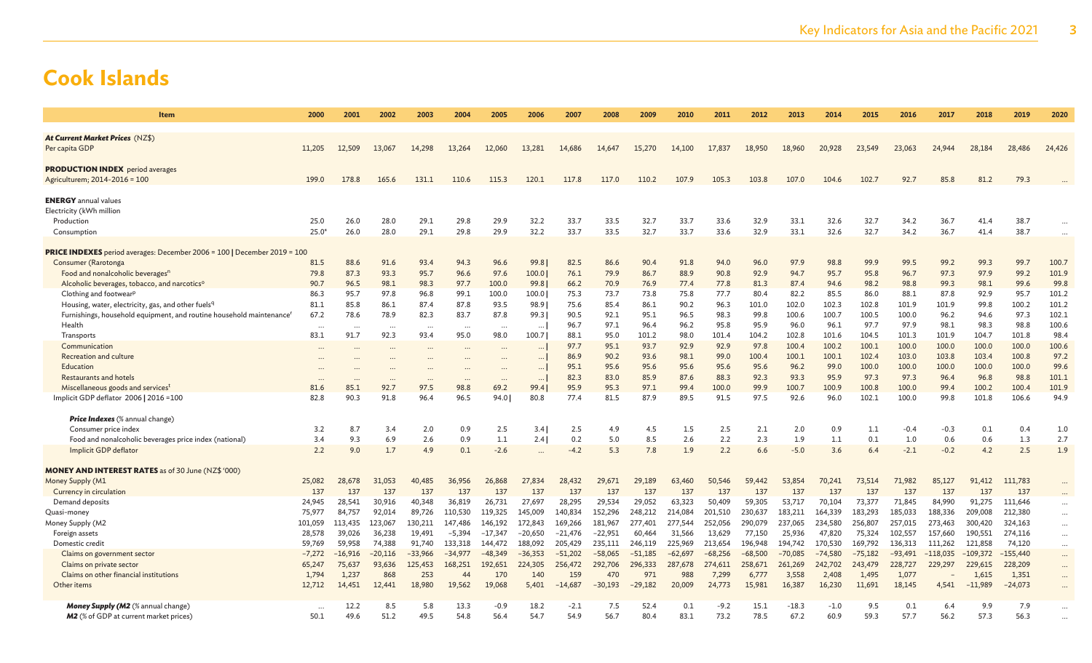| <b>Item</b>                                                                              | 2000            | 2001            | 2002          | 2003          | 2004         | 2005                      | 2006         | 2007             | 2008             | 2009             | 2010          | 2011            | 2012           | 2013            | 2014            | 2015            | 2016            | 2017          | 2018               | 2019               | 2020           |
|------------------------------------------------------------------------------------------|-----------------|-----------------|---------------|---------------|--------------|---------------------------|--------------|------------------|------------------|------------------|---------------|-----------------|----------------|-----------------|-----------------|-----------------|-----------------|---------------|--------------------|--------------------|----------------|
| At Current Market Prices (NZ\$)                                                          |                 |                 |               |               |              |                           |              |                  |                  |                  |               |                 |                |                 |                 |                 |                 |               |                    |                    |                |
| Per capita GDP                                                                           | 11,205          | 12,509          | 13,067        | 14,298        | 13,264       | 12,060                    | 13,281       | 14,686           | 14,647           | 15,270           | 14,100        | 17,837          | 18,950         | 18,960          | 20,928          | 23,549          | 23,063          | 24,944        | 28,184             | 28,486             | 24,426         |
| <b>PRODUCTION INDEX</b> period averages                                                  |                 |                 |               |               |              |                           |              |                  |                  |                  |               |                 |                |                 |                 |                 |                 |               |                    |                    |                |
| Agriculturem; 2014-2016 = 100                                                            | 199.0           | 178.8           | 165.6         | 131.1         | 110.6        | 115.3                     | 120.1        | 117.8            | 117.0            | 110.2            | 107.9         | 105.3           | 103.8          | 107.0           | 104.6           | 102.7           | 92.7            | 85.8          | 81.2               | 79.3               |                |
| <b>ENERGY</b> annual values                                                              |                 |                 |               |               |              |                           |              |                  |                  |                  |               |                 |                |                 |                 |                 |                 |               |                    |                    |                |
| Electricity (kWh million                                                                 |                 |                 |               |               |              |                           |              |                  |                  |                  |               |                 |                |                 |                 |                 |                 |               |                    |                    |                |
| Production                                                                               | 25.0            | 26.0            | 28.0          | 29.1          | 29.8         | 29.9                      | 32.2         | 33.7             | 33.5             | 32.7             | 33.7          | 33.6            | 32.9           | 33.1            | 32.6            | 32.7            | 34.2            | 36.7          | 41.4               | 38.7               |                |
| Consumption                                                                              | $25.0^{\circ}$  | 26.0            | 28.0          | 29.1          | 29.8         | 29.9                      | 32.2         | 33.7             | 33.5             | 32.7             | 33.7          | 33.6            | 32.9           | 33.1            | 32.6            | 32.7            | 34.2            | 36.7          | 41.4               | 38.7               |                |
| <b>PRICE INDEXES</b> period averages: December 2006 = 100   December 2019 = 100          |                 |                 |               |               |              |                           |              |                  |                  |                  |               |                 |                |                 |                 |                 |                 |               |                    |                    |                |
| Consumer (Rarotonga                                                                      | 81.5            | 88.6            | 91.6          | 93.4          | 94.3         | 96.6                      | 99.8         | 82.5             | 86.6             | 90.4             | 91.8          | 94.0            | 96.0           | 97.9            | 98.8            | 99.9            | 99.5            | 99.2          | 99.3               | 99.7               | 100.7          |
| Food and nonalcoholic beverages <sup>n</sup>                                             | 79.8            | 87.3            | 93.3          | 95.7          | 96.6         | 97.6                      | 100.0        | 76.1             | 79.9             | 86.7             | 88.9          | 90.8            | 92.9           | 94.7            | 95.7            | 95.8            | 96.7            | 97.3          | 97.9               | 99.2               | 101.9          |
| Alcoholic beverages, tobacco, and narcotics <sup>o</sup>                                 | 90.7            | 96.5            | 98.1          | 98.3          | 97.7         | 100.0                     | 99.8         | 66.2             | 70.9             | 76.9             | 77.4          | 77.8            | 81.3           | 87.4            | 94.6            | 98.2            | 98.8            | 99.3          | 98.1               | 99.6               | 99.8           |
| Clothing and footwear <sup>p</sup>                                                       | 86.3            | 95.7            | 97.8          | 96.8          | 99.1         | 100.0                     | 100.0        | 75.3             | 73.7             | 73.8             | 75.8          | 77.7            | 80.4           | 82.2            | 85.5            | 86.0            | 88.1            | 87.8          | 92.9               | 95.7               | 101.2          |
| Housing, water, electricity, gas, and other fuelsq                                       | 81.1            | 85.8            | 86.1          | 87.4          | 87.8         | 93.5                      | 98.9         | 75.6             | 85.4             | 86.1             | 90.2          | 96.3            | 101.0          | 102.0           | 102.3           | 102.8           | 101.9           | 101.9         | 99.8               | 100.2              | 101.2          |
| Furnishings, household equipment, and routine household maintenance'                     | 67.2            | 78.6            | 78.9          | 82.3          | 83.7         | 87.8                      | 99.3         | 90.5             | 92.1             | 95.1             | 96.5          | 98.3            | 99.8           | 100.6           | 100.7           | 100.5           | 100.0           | 96.2          | 94.6               | 97.3               | 102.1          |
| Health                                                                                   | $\cdots$        | $\ddotsc$       |               | $\cdots$      | $\ddotsc$    | $\ddotsc$                 | $\cdots$     | 96.7             | 97.1             | 96.4             | 96.2          | 95.8            | 95.9           | 96.0            | 96.1            | 97.7            | 97.9            | 98.1          | 98.3               | 98.8               | 100.6          |
| Transports                                                                               | 83.1            | 91.7            | 92.3          | 93.4          | 95.0         | 98.0                      | 100.7        | 88.1             | 95.0             | 101.2            | 98.0          | 101.4           | 104.2          | 102.8           | 101.6           | 104.5           | 101.3           | 101.9         | 104.7              | 101.8              | 98.4           |
| Communication                                                                            |                 |                 |               |               |              |                           |              | 97.7             | 95.1             | 93.7             | 92.9          | 92.9            | 97.8           | 100.4           | 100.2           | 100.1           | 100.0           | 100.0         | 100.0              | 100.0              | 100.6          |
| Recreation and culture                                                                   |                 |                 |               |               |              |                           |              | 86.9             | 90.2             | 93.6             | 98.1          | 99.0            | 100.4          | 100.1           | 100.1           | 102.4           | 103.0           | 103.8         | 103.4              | 100.8              | 97.2           |
| Education                                                                                |                 |                 |               |               |              |                           | $\cdots$     | 95.1<br>82.3     | 95.6<br>83.0     | 95.6             | 95.6<br>87.6  | 95.6<br>88.3    | 95.6<br>92.3   | 96.2<br>93.3    | 99.0<br>95.9    | 100.0<br>97.3   | 100.0<br>97.3   | 100.0<br>96.4 | 100.0              | 100.0<br>98.8      | 99.6           |
| <b>Restaurants and hotels</b>                                                            |                 |                 | 92.7          | 97.5          |              | 69.2                      |              |                  |                  | 85.9<br>97.1     | 99.4          |                 | 99.9           |                 |                 |                 | 100.0           |               | 96.8               | 100.4              | 101.1<br>101.9 |
| Miscellaneous goods and services <sup>t</sup><br>Implicit GDP deflator 2006   2016 = 100 | 81.6<br>82.8    | 85.1<br>90.3    | 91.8          | 96.4          | 98.8<br>96.5 | 94.0                      | 99.4<br>80.8 | 95.9<br>77.4     | 95.3<br>81.5     | 87.9             | 89.5          | 100.0<br>91.5   | 97.5           | 100.7<br>92.6   | 100.9<br>96.0   | 100.8<br>102.1  | 100.0           | 99.4<br>99.8  | 100.2<br>101.8     | 106.6              | 94.9           |
|                                                                                          |                 |                 |               |               |              |                           |              |                  |                  |                  |               |                 |                |                 |                 |                 |                 |               |                    |                    |                |
| <b>Price Indexes</b> (% annual change)                                                   |                 |                 |               |               |              |                           |              |                  |                  |                  |               |                 |                |                 |                 |                 |                 |               |                    |                    |                |
| Consumer price index                                                                     | 3.2             | 8.7             | 3.4           | 2.0           | 0.9          | 2.5                       | 3.4          | 2.5              | 4.9              | 4.5              | 1.5           | 2.5             | 2.1            | 2.0             | 0.9             | 1.1             | $-0.4$          | $-0.3$        | 0.1                | 0.4                | 1.0            |
| Food and nonalcoholic beverages price index (national)                                   | 3.4             | 9.3             | 6.9           | 2.6           | 0.9          | 1.1                       | 2.4          | 0.2              | 5.0              | 8.5              | 2.6           | 2.2             | 2.3            | 1.9             | 1.1             | 0.1             | 1.0             | 0.6           | 0.6                | 1.3                | 2.7            |
| Implicit GDP deflator                                                                    | 2.2             | 9.0             | 1.7           | 4.9           | 0.1          | $-2.6$                    | $\cdots$     | $-4.2$           | 5.3              | 7.8              | 1.9           | 2.2             | 6.6            | $-5.0$          | 3.6             | 6.4             | $-2.1$          | $-0.2$        | 4.2                | 2.5                | 1.9            |
| <b>MONEY AND INTEREST RATES</b> as of 30 June (NZ\$ '000)                                |                 |                 |               |               |              |                           |              |                  |                  |                  |               |                 |                |                 |                 |                 |                 |               |                    |                    |                |
| Money Supply (M1                                                                         | 25,082          | 28,678          | 31,053        | 40,485        | 36,956       | 26,868                    | 27,834       | 28,432           | 29.671           | 29,189           | 63,460        | 50,546          | 59,442         | 53,854          | 70.241          | 73,514          | 71,982          | 85,127        | 91,412             | 111,783            |                |
| Currency in circulation                                                                  | 137             | 137             | 137           | 137           | 137          | 137                       | 137          | 137              | 137              | 137              | 137           | 137             | 137            | 137             | 137             | 137             | 137             | 137           | 137                | 137                | $\cdots$       |
| Demand deposits                                                                          | 24,945          | 28,541          | 30,916        | 40,348        | 36,819       | 26,731                    | 27,697       | 28,295           | 29,534           | 29,052           | 63,323        | 50,409          | 59,305         | 53,717          | 70,104          | 73,377          | 71,845          | 84,990        | 91,275             | 111,646            | $\cdots$       |
| Quasi-money                                                                              | 75,977          | 84,757          | 92,014        | 89,726        | 110,530      | 119,325                   | 145,009      | 140,834          | 152,296          | 248,212          | 214,084       | 201,510         | 230,637        | 183,211         | 164,339         | 183,293         | 185,033         | 188,336       | 209,008            | 212,380            | $\cdots$       |
| Money Supply (M2                                                                         | 101.059         | 113,435         | 123,067       | 130,211       | 147,486      | 146,192                   | 172,843      | 169,266          | 181,967          | 277,401          | 277,544       | 252.056         | 290,079        | 237,065         | 234,580         | 256,807         | 257,015         | 273,463       | 300,420            | 324,163            | $\cdots$       |
| Foreign assets                                                                           | 28,578          | 39,026          | 36,238        | 19,491        | $-5,394$     | $-17,347$                 | $-20,650$    | $-21,476$        | $-22,951$        | 60,464           | 31,566        | 13,629          | 77,150         | 25,936          | 47,820          | 75,324          | 102,557         | 157,660       | 190,551            | 274,116            | $\cdots$       |
| Domestic credit                                                                          | 59.769          | 59.958          | 74,388        | 91,740        | 133,318      | 144,472                   | 188,092      | 205,429          | 235,111          | 246,119          | 225,969       | 213,654         | 196,948        | 194,742         | 170,530         | 169,792         | 136,313         | 111,262       | 121,858            | 74,120             | $\cdots$       |
| Claims on government sector                                                              | $-7,272$        | $-16,916$       | $-20,116$     | $-33,966$     | $-34,977$    | $-48.349$                 | $-36,353$    | $-51,202$        | $-58,065$        | $-51,185$        | $-62,697$     | $-68,256$       | $-68,500$      | $-70,085$       | $-74,580$       | $-75,182$       | $-93,491$       | $-118,035$    | $-109,372$         | $-155,440$         | $\cdots$       |
| Claims on private sector                                                                 | 65,247          | 75,637          | 93,636        | 125,453       | 168,251      | 192,651                   | 224,305      | 256,472          | 292,706          | 296,333          | 287,678       | 274,611         | 258,671        | 261,269         | 242,702         | 243,479         | 228,727         | 229,297       | 229,615            | 228,209            | $\cdots$       |
| Claims on other financial institutions<br>Other items                                    | 1,794<br>12,712 | 1,237<br>14,451 | 868<br>12,441 | 253<br>18,980 | 44<br>19,562 | 17 <sub>C</sub><br>19,068 | 140<br>5,401 | 159<br>$-14,687$ | 470<br>$-30,193$ | 971<br>$-29,182$ | 988<br>20,009 | 7.299<br>24,773 | 6,77<br>15,981 | 3,558<br>16,387 | 2,408<br>16,230 | 1,495<br>11,691 | 1,077<br>18,145 | 4,541         | 1,615<br>$-11,989$ | 1,351<br>$-24,073$ | $\cdots$       |
|                                                                                          |                 |                 |               |               |              |                           |              |                  |                  |                  |               |                 |                |                 |                 |                 |                 |               |                    |                    | $\cdots$       |
| <b>Money Supply (M2</b> (% annual change)                                                |                 | 12.2            | 8.5           | 5.8           | 13.3         | $-0.9$                    | 18.2         | $-2.1$           | 7.5              | 52.4             | 0.1           | $-9.2$          | 15.1           | $-18.3$         | $-1.0$          | 9.5             | 0.1             | 6.4           | 9.9                | 7.9                |                |
| <b>M2</b> (% of GDP at current market prices)                                            | 50.1            | 49.6            | 51.2          | 49.5          | 54.8         | 56.4                      | 54.7         | 54.9             | 56.7             | 80.              | 83.1          | 73.2            | 78.5           | 67.2            | 60.9            | 59.3            | 57.7            | 56.2          | 57.3               | 56.3               |                |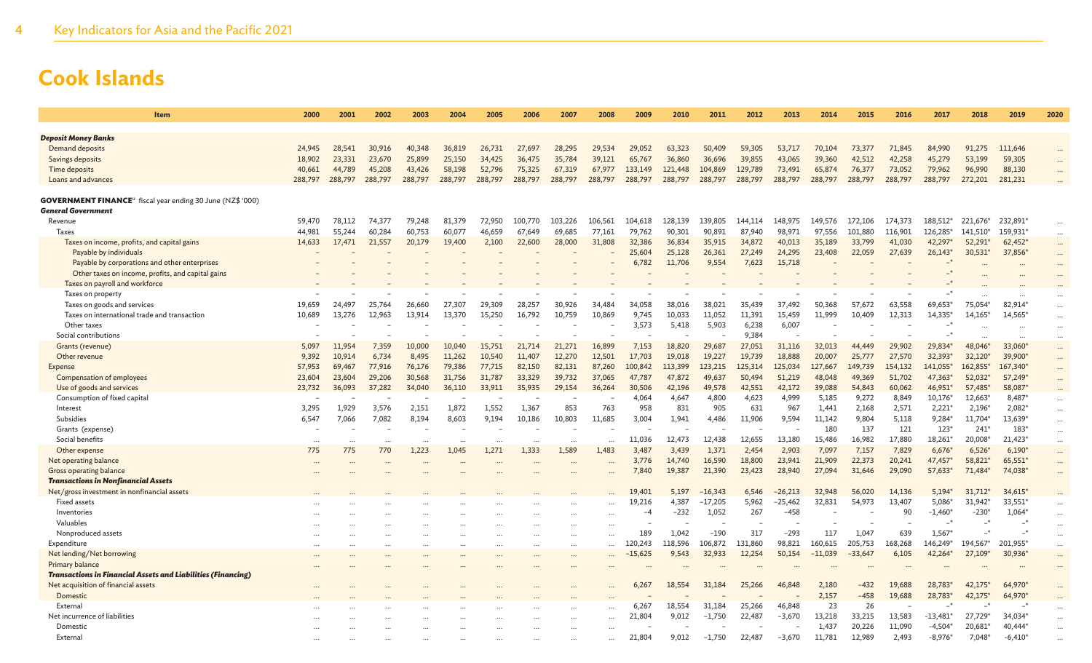| <b>Item</b>                                                                   | 2000    | 2001    | 2002    | 2003    | 2004    | 2005    | 2006    | 2007    | 2008    | 2009      | 2010    | 2011      | 2012    | 2013      | 2014      | 2015      | 2016    | 2017           | 2018      | 2019          | 2020      |
|-------------------------------------------------------------------------------|---------|---------|---------|---------|---------|---------|---------|---------|---------|-----------|---------|-----------|---------|-----------|-----------|-----------|---------|----------------|-----------|---------------|-----------|
|                                                                               |         |         |         |         |         |         |         |         |         |           |         |           |         |           |           |           |         |                |           |               |           |
| <b>Deposit Money Banks</b>                                                    |         |         |         |         |         |         |         |         |         |           |         |           |         |           |           |           |         |                |           |               |           |
| Demand deposits                                                               | 24,945  | 28,541  | 30,916  | 40,348  | 36,819  | 26,731  | 27,697  | 28.295  | 29,534  | 29.052    | 63,323  | 50,409    | 59,305  | 53,717    | 70,104    | 73,377    | 71,845  | 84,990         | 91,275    | 111.646       |           |
| Savings deposits                                                              | 18,902  | 23.331  | 23,670  | 25,899  | 25,150  | 34,425  | 36,475  | 35,784  | 39,121  | 65,767    | 36,860  | 36,696    | 39,855  | 43,065    | 39,360    | 42.512    | 42,258  | 45,279         | 53,199    | 59,305        |           |
| Time deposits                                                                 | 40,661  | 44,789  | 45,208  | 43,426  | 58,198  | 52,796  | 75,325  | 67,319  | 67,977  | 133,149   | 121,448 | 104,869   | 129,789 | 73,491    | 65,874    | 76,377    | 73,052  | 79,962         | 96,990    | 88,130        |           |
| Loans and advances                                                            | 288,797 | 288,797 | 288,797 | 288,797 | 288,797 | 288,797 | 288,797 | 288,797 | 288,797 | 288,797   | 288,797 | 288,797   | 288,797 | 288,797   | 288,797   | 288,797   | 288,797 | 288,797        | 272,201   | 281,231       |           |
| <b>GOVERNMENT FINANCE</b> <sup>u</sup> fiscal year ending 30 June (NZ\$ '000) |         |         |         |         |         |         |         |         |         |           |         |           |         |           |           |           |         |                |           |               |           |
| <b>General Government</b>                                                     |         |         |         |         |         |         |         |         |         |           |         |           |         |           |           |           |         |                |           |               |           |
| Revenue                                                                       | 59,470  | 78,112  | 74,377  | 79,248  | 81,379  | 72,950  | 100,770 | 103,226 | 106,561 | 104,618   | 128,139 | 139,805   | 144,114 | 148,975   | 149.576   | 172,106   | 174,373 | 188,512*       | 221,676*  | 232,891*      |           |
| <b>Taxes</b>                                                                  | 44,981  | 55,244  | 60,284  | 60,753  | 60,077  | 46,659  | 67,649  | 69,685  | 77,161  | 79,762    | 90,301  | 90,891    | 87,940  | 98,971    | 97,556    | 101,880   | 116,901 | 126,285*       | 141,510   | 159,931*      | $\cdots$  |
| Taxes on income, profits, and capital gains                                   | 14,633  | 17,471  | 21,557  | 20,179  | 19,400  | 2,100   | 22,600  | 28,000  | 31,808  | 32,386    | 36,834  | 35,915    | 34,872  | 40,013    | 35,189    | 33,799    | 41,030  | 42,297         | 52,291    | $62,452*$     | $\cdots$  |
| Payable by individuals                                                        |         |         |         |         |         |         |         |         |         | 25,604    | 25,128  | 26,361    | 27,249  | 24,295    | 23,408    | 22,059    | 27,639  | $26,143*$      | 30,531    | 37,856*       | $\ddotsc$ |
| Payable by corporations and other enterprises                                 |         |         |         |         |         |         |         |         |         | 6,782     | 11,706  | 9,554     | 7,623   | 15,718    |           |           |         | $\mathbf{R}^*$ |           |               | $\cdots$  |
| Other taxes on income, profits, and capital gains                             |         |         |         |         |         |         |         |         |         |           |         |           |         |           |           |           |         |                |           |               |           |
| Taxes on payroll and workforce                                                |         |         |         |         |         |         |         |         |         |           |         |           |         |           |           |           |         |                |           |               |           |
| Taxes on property                                                             |         |         |         |         |         |         |         |         |         |           |         |           |         |           |           |           |         |                |           |               |           |
|                                                                               | 19,659  | 24,497  | 25,764  | 26,660  | 27,307  | 29,309  | 28,257  | 30,926  | 34,484  | 34,058    |         | 38,021    | 35,439  | 37,492    | 50,368    | 57,672    | 63,558  | 69,653*        | 75,054*   | 82,914*       |           |
| Taxes on goods and services                                                   |         |         |         |         |         | 15,250  | 16,792  |         |         |           | 38,016  |           | 11,391  | 15,459    | 11,999    | 10,409    | 12,313  | 14,335*        | 14,165    | 14,565*       | $\cdots$  |
| Taxes on international trade and transaction                                  | 10,689  | 13,276  | 12,963  | 13,914  | 13,370  |         |         | 10,759  | 10,869  | 9,745     | 10,033  | 11,052    |         |           |           |           |         |                |           |               | $\cdots$  |
| Other taxes                                                                   |         |         |         |         |         |         |         |         |         | 3,573     | 5,418   | 5,903     | 6,238   | 6,007     |           |           |         |                |           |               |           |
| Social contributions                                                          |         |         |         |         |         |         |         |         |         |           |         |           | 9,384   |           | ۰         |           |         |                |           |               | $\cdots$  |
| Grants (revenue)                                                              | 5.097   | 11,954  | 7,359   | 10,000  | 10,040  | 15,751  | 21,714  | 21,271  | 16,899  | 7,153     | 18,820  | 29,687    | 27,051  | 31,116    | 32.013    | 44,449    | 29,902  | 29,834*        | 48,046*   | 33,060        | $\cdots$  |
| Other revenue                                                                 | 9,392   | 10,914  | 6,734   | 8,495   | 11,262  | 10,540  | 11,407  | 12,270  | 12,501  | 17,703    | 19,018  | 19,227    | 19,739  | 18,888    | 20,007    | 25,777    | 27,570  | 32,393*        | 32,120    | 39,900*       | $\cdots$  |
| Expense                                                                       | 57,953  | 69,467  | 77,916  | 76,176  | 79,386  | 77.715  | 82,150  | 82,131  | 87,260  | 100,842   | 113,399 | 123,215   | 125,314 | 125,034   | 127,667   | 149,739   | 154,132 | 141,055*       | 162,855   | 167,340*      |           |
| Compensation of employees                                                     | 23,604  | 23,604  | 29,206  | 30,568  | 31,756  | 31,787  | 33,329  | 39,732  | 37,065  | 47,787    | 47,872  | 49,637    | 50,494  | 51,219    | 48,048    | 49,369    | 51,702  | 47,363*        | 52,032    | 57,249*       |           |
| Use of goods and services                                                     | 23,732  | 36,093  | 37,282  | 34,040  | 36,110  | 33,911  | 35,935  | 29,154  | 36,264  | 30,506    | 42,196  | 49,578    | 42,551  | 42,172    | 39,088    | 54,843    | 60,062  | 46,951*        | 57,485    | 58,087*       |           |
| Consumption of fixed capital                                                  |         |         |         |         |         |         |         |         |         | 4.064     | 4,647   | 4,800     | 4,623   | 4,999     | 5,185     | 9,272     | 8,849   | 10,176*        | 12,663    | 8,487*        |           |
| Interest                                                                      | 3,295   | 1,929   | 3,576   | 2,151   | 1,872   | 1,552   | 1,367   | 853     | 763     | 958       | 831     | 905       | 631     | 967       | 1,441     | 2,168     | 2,571   | $2,221*$       | 2,196     | $2,082*$      |           |
| Subsidies                                                                     | 6,547   | 7,066   | 7,082   | 8,194   | 8,603   | 9,194   | 10,186  | 10,803  | 11,685  | 3.004     | 1,941   | 4,486     | 11,906  | 9,594     | 11.142    | 9,804     | 5,118   | 9,284*         | 11,704    | 13,639*       | $\cdots$  |
| Grants (expense)                                                              |         |         |         |         |         |         |         |         |         |           |         |           |         |           | 180       | 137       | 121     | $123*$         | 241       | $183*$        | $\cdots$  |
| Social benefits                                                               |         |         |         |         |         |         |         |         |         | 11,036    | 12,473  | 12,438    | 12,655  | 13,180    | 15,486    | 16,982    | 17,880  | 18,261*        | 20,008    | 21,423*       | $\cdots$  |
| Other expense                                                                 | 775     | 775     | 770     | 1,223   | 1.045   | 1,271   | 1.333   | 1,589   | 1.483   | 3.487     | 3,439   | 1,371     | 2,454   | 2,903     | 7,097     | 7,157     | 7,829   | $6,676*$       | 6,526'    | $6,190*$      |           |
| Net operating balance                                                         |         |         |         |         |         |         |         |         |         | 3,776     | 14,740  | 16,590    | 18,800  | 23,941    | 21,909    | 22,373    | 20,241  | 47,457         | 58,821    | 65,551*       | $\cdots$  |
| Gross operating balance                                                       |         |         |         |         |         |         |         |         |         | 7,840     | 19,387  | 21,390    | 23,423  | 28,940    | 27,094    | 31,646    | 29,090  | 57,633*        | 71,484    | 74,038*       | $\cdots$  |
| <b>Transactions in Nonfinancial Assets</b>                                    |         |         |         |         |         |         |         |         |         |           |         |           |         |           |           |           |         |                |           |               |           |
| Net/gross investment in nonfinancial assets                                   |         |         |         |         |         |         |         |         |         | 19,401    | 5,197   | $-16,343$ | 6,546   | $-26,213$ | 32,948    | 56,020    | 14,136  | $5,194*$       | $31,712*$ | 34,615*       |           |
| <b>Fixed assets</b>                                                           |         |         |         |         |         |         |         |         |         | 19.216    | 4,387   | $-17,205$ | 5.962   | $-25,462$ | 32.831    | 54,973    | 13,407  | $5.086*$       | 31,942    | 33.551*       |           |
| Inventories                                                                   |         |         |         |         |         |         |         |         |         | -4        | $-232$  | 1,052     | 267     | $-458$    |           |           | 90      | $-1,460*$      | $-230'$   | 1,064*        |           |
| Valuables                                                                     |         |         |         |         |         |         |         |         |         |           |         |           |         |           |           |           |         | $-*$           | _*        | $\rightarrow$ | $\cdots$  |
| Nonproduced assets                                                            |         |         |         |         |         |         |         |         |         | 189       | 1,042   | $-190$    | 317     | $-293$    | 117       | 1,047     | 639     | $1,567*$       |           |               |           |
| Expenditure                                                                   |         |         |         |         |         |         |         |         |         | 120,243   | 118,596 | 106,872   | 131,860 | 98,821    | 160,615   | 205,753   | 168,268 | 146,249*       | 194.567*  | 201,955*      | $\cdots$  |
| Net lending/Net borrowing                                                     |         |         |         |         |         |         |         |         |         | $-15,625$ | 9,543   | 32,933    | 12,254  | 50,154    | $-11,039$ | $-33,647$ | 6,105   | 42,264*        | 27,109    | 30,936        |           |
| Primary balance                                                               |         |         |         |         |         |         |         |         |         |           |         |           |         |           |           |           |         |                |           |               |           |
| <b>Transactions in Financial Assets and Liabilities (Financing)</b>           |         |         |         |         |         |         |         |         |         |           |         |           |         |           |           |           |         |                |           |               |           |
| Net acquisition of financial assets                                           |         |         |         |         |         |         |         |         |         | 6,267     | 18,554  | 31,184    | 25,266  | 46,848    | 2,180     | $-432$    | 19,688  | 28,783*        | 42,175    | 64,970*       |           |
| Domestic                                                                      |         |         |         |         |         |         |         |         |         |           |         |           |         |           | 2,157     | $-458$    | 19,688  | 28,783*        | 42.175    | 64,970*       |           |
| External                                                                      |         |         |         |         |         |         |         |         |         | 6,267     | 18,554  | 31,184    | 25,266  | 46,848    | 23        | 26        |         |                |           | $\ast$        |           |
| Net incurrence of liabilities                                                 |         |         |         |         |         |         |         |         |         | 21,804    | 9,012   | $-1,750$  | 22,487  | $-3,670$  | 13.218    | 33,215    | 13,583  | $-13,481*$     | 27,729    | 34,034*       |           |
| Domestic                                                                      |         |         |         |         |         |         |         |         |         |           |         |           |         |           | 1,437     | 20,226    | 11,090  | $-4,504*$      | 20,681    | 40.444*       |           |
| External                                                                      |         |         |         |         |         |         |         |         |         | 21,804    | 9,012   | $-1,750$  | 22,487  | $-3,670$  | 11,781    | 12,989    | 2,493   | $-8,976*$      | 7,048     | $-6,410*$     |           |
|                                                                               |         |         |         |         |         |         |         |         |         |           |         |           |         |           |           |           |         |                |           |               |           |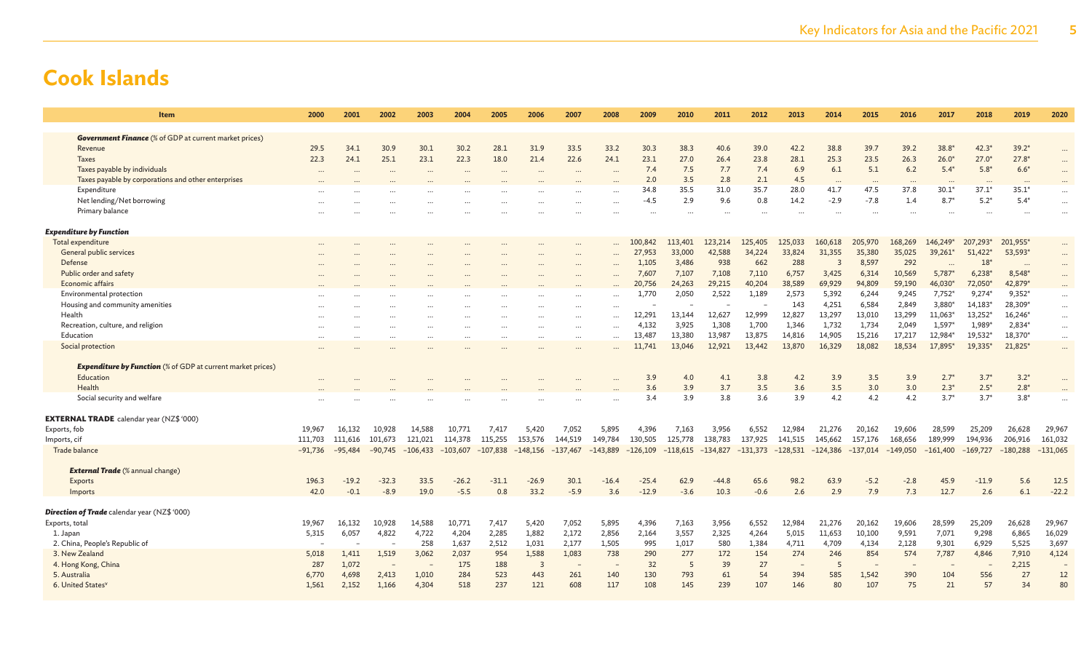| <b>Item</b>                                                              | 2000      | 2001      | 2002      | 2003       | 2004       | 2005       | 2006       | 2007       | 2008       | 2009       | 2010       | 2011       | 2012       | 2013       | 2014       | 2015       | 2016       | 2017             | 2018             | 2019             | 2020                     |
|--------------------------------------------------------------------------|-----------|-----------|-----------|------------|------------|------------|------------|------------|------------|------------|------------|------------|------------|------------|------------|------------|------------|------------------|------------------|------------------|--------------------------|
|                                                                          |           |           |           |            |            |            |            |            |            |            |            |            |            |            |            |            |            |                  |                  |                  |                          |
| <b>Government Finance</b> (% of GDP at current market prices)<br>Revenue | 29.5      | 34.1      | 30.9      | 30.1       | 30.2       | 28.1       | 31.9       | 33.5       | 33.2       | 30.3       | 38.3       | 40.6       | 39.0       | 42.2       | 38.8       | 39.7       | 39.2       | $38.8*$          | $42.3*$          | $39.2*$          |                          |
| Taxes                                                                    | 22.3      | 24.1      | 25.1      | 23.1       | 22.3       | 18.0       | 21.4       | 22.6       | 24.1       | 23.1       | 27.0       | 26.4       | 23.8       | 28.1       | 25.3       | 23.5       | 26.3       | $26.0*$          | $27.0*$          | $27.8*$          |                          |
| Taxes payable by individuals                                             | $\cdots$  |           |           |            |            |            | $\cdots$   |            |            | 7.4        | 7.5        | 7.7        | 7.4        | 6.9        | 6.1        | 5.1        | 6.2        | $5.4*$           | $5.8*$           | $6.6*$           |                          |
| Taxes payable by corporations and other enterprises                      |           |           |           |            |            |            |            |            |            | 2.0        | 3.5        | 2.8        | 2.1        | 4.5        |            | $\ddotsc$  |            |                  |                  |                  |                          |
| Expenditure                                                              |           |           |           |            |            |            |            |            |            | 34.8       | 35.5       | 31.0       | 35.7       | 28.0       | 41.7       | 47.5       | 37.8       | $30.1*$          | $37.1*$          | $35.1*$          |                          |
| Net lending/Net borrowing                                                |           |           |           |            |            |            |            |            |            | -4.5       | 2.9        | 9.6        | 0.8        | 14.2       | $-2.9$     | $-7.8$     | 1.4        | $8.7^{\circ}$    | $5.2*$           | $5.4*$           |                          |
| Primary balance                                                          |           |           |           |            |            |            |            |            |            |            |            | $\ddotsc$  |            |            |            |            |            |                  |                  |                  |                          |
| <b>Expenditure by Function</b>                                           |           |           |           |            |            |            |            |            |            |            |            |            |            |            |            |            |            |                  |                  |                  |                          |
| Total expenditure                                                        |           |           |           |            |            |            |            |            |            | 100,842    | 113,401    | 123,214    | 125,405    | 125,033    | 160,618    | 205,970    | 168,269    | 146,249          | 207,293*         | 201,955*         |                          |
| General public services                                                  |           |           |           |            |            |            |            |            | $\ddotsc$  | 27,953     | 33,000     | 42,588     | 34,224     | 33,824     | 31,355     | 35,380     | 35,025     | 39,261           | $51,422*$        | 53,593*          |                          |
| Defense                                                                  |           |           |           |            |            |            |            |            |            | 1,105      | 3,486      | 938        | 662        | 288        | 3          | 8,597      | 292        |                  | $18*$            | $\cdots$         | $\cdots$                 |
| Public order and safety                                                  |           |           |           |            |            |            |            |            | $\cdots$   | 7,607      | 7,107      | 7,108      | 7,110      | 6,757      | 3,425      | 6,314      | 10,569     | 5,787            | $6,238*$         | 8,548*           | $\cdots$                 |
| Economic affairs                                                         |           |           |           |            |            |            |            |            |            | 20,756     | 24,263     | 29,215     | 40,204     | 38,589     | 69,929     | 94,809     | 59,190     | 46,030           | 72,050*          | 42,879*          |                          |
| Environmental protection                                                 |           |           |           |            |            |            |            |            | $\ddotsc$  | 1,770      | 2,050      | 2,522      | 1,189      | 2,573      | 5,392      | 6,244      | 9,245      | 7,752            | $9,274*$         | $9,352*$         |                          |
| Housing and community amenities                                          |           |           |           |            |            |            |            |            | $\cdots$   |            |            |            |            | 143        | 4,251      | 6,584      | 2,849      | 3,880            | 14,183*          | 28,309*          | $\cdots$                 |
| Health                                                                   |           |           |           |            |            |            |            |            | $\cdots$   | 12.291     | 13,144     | 12,627     | 12,999     | 12,827     | 13,297     | 13,010     | 13,299     | 11,063'          | 13,252*          | 16,246*          | $\cdots$                 |
| Recreation, culture, and religion                                        | $\cdots$  |           |           |            |            |            |            | $\cdots$   | $\cdots$   | 4,132      | 3,925      | 1,308      | 1,700      | 1,346      | 1,732      | 1,734      | 2,049      | 1,597            | 1,989*           | 2,834*           | $\cdots$                 |
| Education                                                                |           |           |           |            |            |            |            |            |            | 13,487     | 13,380     | 13,987     | 13,875     | 14,816     | 14,905     | 15,216     | 17,217     | 12,984*          | 19,532*          | 18,370*          |                          |
| Social protection                                                        |           |           |           |            |            |            |            |            |            | 11,741     | 13,046     | 12,921     | 13,442     | 13,870     | 16,329     | 18,082     | 18,534     | 17,895*          | 19,335*          | 21,825*          | $\cdots$                 |
|                                                                          |           |           |           |            |            |            |            |            |            |            |            |            |            |            |            |            |            |                  |                  |                  |                          |
| <b>Expenditure by Function</b> (% of GDP at current market prices)       |           |           |           |            |            |            |            |            |            |            |            |            |            |            |            |            |            |                  |                  |                  |                          |
| Education                                                                |           |           |           |            |            |            |            |            |            | 3.9        | 4.0        | 4.1        | 3.8        | 4.2        | 3.9        | 3.5        | 3.9        | $2.7*$           | $3.7*$           | $3.2*$           |                          |
| Health                                                                   |           |           |           |            |            |            |            |            |            | 3.6<br>3.4 | 3.9<br>3.9 | 3.7<br>3.8 | 3.5<br>3.6 | 3.6<br>3.9 | 3.5<br>4.2 | 3.0<br>4.2 | 3.0<br>4.2 | $2.3*$<br>$3.7*$ | $2.5*$<br>$3.7*$ | $2.8*$<br>$3.8*$ |                          |
| Social security and welfare                                              |           |           |           |            |            |            |            |            |            |            |            |            |            |            |            |            |            |                  |                  |                  |                          |
| <b>EXTERNAL TRADE</b> calendar year (NZ\$ '000)                          |           |           |           |            |            |            |            |            |            |            |            |            |            |            |            |            |            |                  |                  |                  |                          |
| Exports, fob                                                             | 19,967    | 16,132    | 10,928    | 14,588     | 10,771     | 7,417      | 5,420      | 7,052      | 5,895      | 4,396      | 7,163      | 3,956      | 6,552      | 12,984     | 21,276     | 20,162     | 19,606     | 28,599           | 25,209           | 26,628           | 29,967                   |
| Imports, cif                                                             | 111,703   | 111,616   | 101,673   | 121,021    | 114,378    | 115,255    | 153,576    | 144,519    | 149,784    | 130,505    | 125,778    | 138,783    | 137,925    | 141,515    | 145,662    | 157,176    | 168,656    | 189,999          | 194,936          | 206,916          | 161,032                  |
| Trade balance                                                            | $-91,736$ | $-95,484$ | $-90,745$ | $-106,433$ | $-103,607$ | $-107,838$ | $-148,156$ | $-137,467$ | $-143,889$ | $-126,109$ | $-118,615$ | $-134,827$ | $-131,373$ | $-128,531$ | $-124,386$ | $-137,014$ | $-149,050$ | $-161,400$       | $-169,727$       | $-180,288$       | $-131,065$               |
| <b>External Trade</b> (% annual change)                                  |           |           |           |            |            |            |            |            |            |            |            |            |            |            |            |            |            |                  |                  |                  |                          |
| Exports                                                                  | 196.3     | $-19.2$   | $-32.3$   | 33.5       | $-26.2$    | $-31.1$    | $-26.9$    | 30.1       | $-16.4$    | $-25.4$    | 62.9       | $-44.8$    | 65.6       | 98.2       | 63.9       | $-5.2$     | $-2.8$     | 45.9             | $-11.9$          | 5.6              | 12.5                     |
| Imports                                                                  | 42.0      | $-0.1$    | $-8.9$    | 19.0       | $-5.5$     | 0.8        | 33.2       | $-5.9$     | 3.6        | $-12.9$    | $-3.6$     | 10.3       | $-0.6$     | 2.6        | 2.9        | 7.9        | 7.3        | 12.7             | 2.6              | 6.1              | $-22.2$                  |
|                                                                          |           |           |           |            |            |            |            |            |            |            |            |            |            |            |            |            |            |                  |                  |                  |                          |
| Direction of Trade calendar year (NZ\$ '000)                             |           |           |           |            |            |            |            |            |            |            |            |            |            |            |            |            |            |                  |                  |                  |                          |
| Exports, total                                                           | 19.967    | 16,132    | 10,928    | 14,588     | 10,771     | 7,417      | 5,420      | 7,052      | 5,895      | 4,396      | 7,163      | 3,956      | 6,552      | 12,984     | 21,276     | 20,162     | 19,606     | 28,599           | 25,209           | 26,628           | 29,967                   |
| 1. Japan                                                                 | 5,315     | 6,057     | 4,822     | 4,722      | 4,204      | 2,285      | 1,882      | 2,172      | 2,856      | 2,164      | 3,557      | 2,325      | 4,264      | 5,015      | 11,653     | 10,100     | 9,591      | 7,071            | 9,298            | 6,865            | 16,029                   |
| 2. China, People's Republic of                                           |           |           |           | 258        | 1,637      | 2,512      | 1,031      | 2,177      | 1,505      | 995        | 1,017      | 580        | 1,384      | 4,711      | 4,709      | 4,134      | 2,128      | 9,301            | 6,929            | 5,525            | 3,697                    |
| 3. New Zealand                                                           | 5,018     | 1,411     | 1,519     | 3,062      | 2,037      | 954        | 1,588      | 1,083      | 738        | 290        | 277        | 172        | 154        | 274        | 246        | 854        | 574        | 7,787            | 4,846            | 7,910            | 4,124                    |
| 4. Hong Kong, China                                                      | 287       | 1,072     |           |            | 175        | 188        | 3          |            |            | 32         | 5          | 39         | 27         |            | 5          |            |            |                  |                  | 2,215            | $\overline{\phantom{m}}$ |
| 5. Australia                                                             | 6,770     | 4,698     | 2,413     | 1,010      | 284        | 523        | 443        | 261        | 140        | 130        | 793        | 61         | 54         | 394        | 585        | 1,542      | 390        | 104              | 556              | 27               | 12                       |
| 6. United States <sup>v</sup>                                            | 1,561     | 2,152     | 1,166     | 4,304      | 518        | 237        | 121        | 608        | 117        | 108        | 145        | 239        | 107        | 146        | 80         | 107        | 75         | 21               | 57               | 34               | 80                       |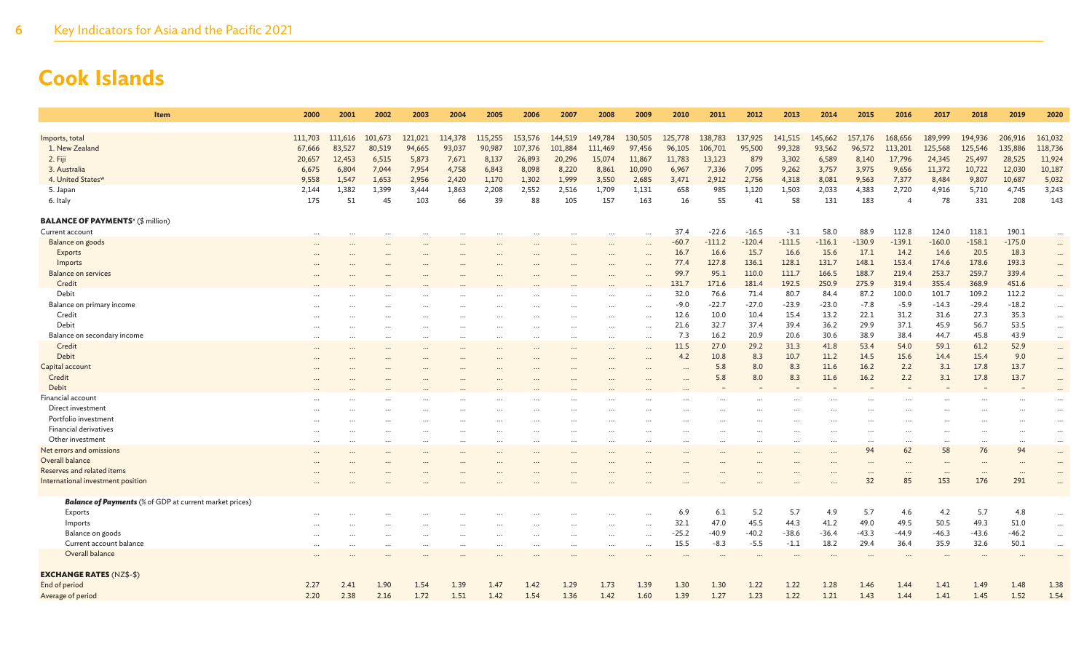| Item                                                           | 2000      | 2001     | 2002     | 2003                 | 2004      | 2005     | 2006     | 2007      | 2008      | 2009      | 2010     | 2011     | 2012      | 2013     | 2014     | 2015            | 2016            | 2017            | 2018                       | 2019             | 2020      |
|----------------------------------------------------------------|-----------|----------|----------|----------------------|-----------|----------|----------|-----------|-----------|-----------|----------|----------|-----------|----------|----------|-----------------|-----------------|-----------------|----------------------------|------------------|-----------|
|                                                                |           |          |          |                      |           |          |          |           |           |           |          |          |           |          |          |                 |                 |                 |                            |                  |           |
| Imports, total                                                 | 111,703   | 111,616  | 101,673  | 121,021              | 114,378   | 115,255  | 153,576  | 144,519   | 149,784   | 130,505   | 125,778  | 138,783  | 137,925   | 141,515  | 145,662  | 157,176         | 168,656         | 189,999         | 194,936                    | 206,916          | 161,032   |
| 1. New Zealand                                                 | 67,666    | 83,527   | 80,519   | 94,665               | 93,037    | 90,987   | 107,376  | 101,884   | 111,469   | 97,456    | 96,105   | 106,701  | 95,500    | 99,328   | 93,562   | 96,572          | 113,201         | 125,568         | 125,546                    | 135,886          | 118,736   |
| 2. Fiji                                                        | 20,657    | 12,453   | 6,515    | 5,873                | 7,671     | 8,137    | 26,893   | 20,296    | 15,074    | 11,867    | 11,783   | 13,123   | 879       | 3,302    | 6,589    | 8,140           | 17,796          | 24,345          | 25,497                     | 28,525           | 11,924    |
| 3. Australia                                                   | 6,675     | 6,804    | 7,044    | 7,954                | 4,758     | 6,843    | 8,098    | 8,220     | 8,861     | 10,090    | 6,967    | 7,336    | 7,095     | 9,262    | 3,757    | 3,975           | 9,656           | 11,372          | 10,722                     | 12,030           | 10,187    |
| 4. United States <sup>w</sup>                                  | 9,558     | 1,547    | 1,653    | 2,956                | 2,420     | 1,170    | 1,302    | 1,999     | 3,550     | 2,685     | 3,471    | 2,912    | 2,756     | 4,318    | 8,081    | 9,563           | 7,377           | 8,484           | 9,807                      | 10,687           | 5,032     |
| 5. Japan                                                       | 2,144     | 1,382    | 1,399    | 3.444                | 1,863     | 2,208    | 2,552    | 2,516     | 1,709     | 1,131     | 658      | 985      | 1,120     | 1,503    | 2,033    | 4,383           | 2,720           | 4,916           | 5,710                      | 4.745            | 3,243     |
| 6. Italy                                                       | 175       | 51       | 45       | 103                  | 66        | 39       | 88       | 105       | 157       | 163       | 16       | 55       | 41        | 58       | 131      | 183             |                 | 78              | 331                        | 208              | 143       |
| <b>BALANCE OF PAYMENTS</b> <sup>x</sup> (\$ million)           |           |          |          |                      |           |          |          |           |           |           |          |          |           |          |          |                 |                 |                 |                            |                  |           |
| Current account                                                | $\cdots$  | $\ddots$ | $\cdots$ | $\cdots$             | $\cdots$  | $\cdots$ | $\cdots$ | $\cdots$  | $\cdots$  | $\cdots$  | 37.4     | $-22.6$  | $-16.5$   | $-3.1$   | 58.0     | 88.9            | 112.8           | 124.0           | 118.1                      | 190.1            | $\cdots$  |
| Balance on goods                                               |           |          |          |                      |           |          |          | .         | $\ddotsc$ |           | $-60.7$  | $-111.2$ | $-120.4$  | $-111.5$ | $-116.1$ | $-130.9$        | $-139.1$        | $-160.0$        | $-158.1$                   | $-175.0$         | $\cdots$  |
| Exports                                                        |           |          |          | $\ddot{\phantom{a}}$ |           |          |          | $\cdots$  | $\ddotsc$ | $\ddotsc$ | 16.7     | 16.6     | 15.7      | 16.6     | 15.6     | 17.1            | 14.2            | 14.6            | 20.5                       | 18.3             | $\cdots$  |
| Imports                                                        |           |          |          |                      |           |          |          |           |           |           | 77.4     | 127.8    | 136.1     | 128.1    | 131.7    | 148.1           | 153.4           | 174.6           | 178.6                      | 193.3            |           |
| <b>Balance on services</b>                                     |           |          |          |                      |           |          |          |           |           |           | 99.7     | 95.1     | 110.0     | 111.7    | 166.5    | 188.7           | 219.4           | 253.7           | 259.7                      | 339.4            | $\cdots$  |
| Credit                                                         |           |          |          |                      |           |          |          |           |           |           | 131.7    | 171.6    | 181.4     | 192.5    | 250.9    | 275.9           | 319.4           | 355.4           | 368.9                      | 451.6            |           |
| Debit                                                          |           |          |          |                      |           |          |          |           |           |           | 32.0     | 76.6     | 71.4      | 80.7     | 84.4     | 87.2            | 100.0           | 101.7           | 109.2                      | 112.2            | $\ldots$  |
| Balance on primary income                                      |           |          |          | $\ddotsc$            |           |          |          |           |           | $\ddotsc$ | $-9.0$   | $-22.7$  | $-27.0$   | $-23.9$  | $-23.0$  | $-7.8$          | $-5.9$          | $-14.3$         | $-29.4$                    | $-18.2$          | $\cdots$  |
| Credit                                                         |           |          |          |                      |           |          |          |           |           |           | 12.6     | 10.0     | 10.4      | 15.4     | 13.2     | 22.1            | 31.2            | 31.6            | 27.3                       | 35.3             | $\cdots$  |
| Debit                                                          |           |          |          |                      |           |          |          |           |           |           | 21.6     | 32.7     | 37.4      | 39.4     | 36.2     | 29.9            | 37.1            | 45.9            | 56.7                       | 53.5             | $\cdots$  |
| Balance on secondary income                                    | $\cdots$  |          |          | $\ddotsc$            |           |          |          | .         | $\ddotsc$ | $\ddotsc$ | 7.3      | 16.2     | 20.9      | 20.6     | 30.6     | 38.9            | 38.4            | 44.7            | 45.8                       | 43.9             | $\cdots$  |
| Credit                                                         |           |          |          |                      |           |          |          |           |           |           | 11.5     | 27.0     | 29.2      | 31.3     | 41.8     | 53.4            | 54.0            | 59.1            | 61.2                       | 52.9             | $\cdots$  |
| Debit                                                          |           |          |          |                      |           |          |          |           |           |           | 4.2      | 10.8     | 8.3       | 10.7     | 11.2     | 14.5            | 15.6            | 14.4            | 15.4                       | 9.0              |           |
| Capital account                                                |           |          |          |                      |           |          |          |           |           |           |          | 5.8      | 8.0       | 8.3      | 11.6     | 16.2            | 2.2             | 3.1             | 17.8                       | 13.7             |           |
| Credit                                                         |           |          |          |                      |           |          |          |           |           |           |          | 5.8      | 8.0       | 8.3      | 11.6     | 16.2            | 2.2             | 3.1             | 17.8                       | 13.7             |           |
| Debit                                                          |           |          |          |                      |           |          |          |           |           |           |          |          |           |          |          |                 |                 |                 |                            |                  |           |
| <b>Financial account</b>                                       |           |          |          |                      |           |          |          |           |           |           |          |          |           |          |          |                 |                 |                 |                            |                  |           |
| Direct investment                                              |           |          |          |                      |           |          |          |           |           |           |          |          |           |          |          |                 |                 |                 |                            |                  |           |
| Portfolio investment                                           |           |          |          |                      |           |          |          |           |           |           |          |          |           |          |          |                 |                 |                 |                            |                  |           |
| Financial derivatives                                          |           |          |          |                      |           |          |          |           |           |           |          |          |           |          |          |                 |                 |                 |                            |                  | $\cdots$  |
| Other investment                                               |           |          |          | $\cdots$             | $\cdots$  |          |          |           |           |           | $\cdots$ |          |           |          |          | $\cdots$        |                 |                 |                            |                  | $\cdots$  |
| Net errors and omissions                                       | $\ddotsc$ |          |          | $\cdots$             | $\ddotsc$ |          |          | $\ddotsc$ |           |           | $\cdots$ |          | $\ddotsc$ |          |          | $\ddotsc$<br>94 | <br>62          | $\cdots$<br>58  | $\ddot{\phantom{a}}$<br>76 | <br>94           | $\ddots$  |
| Overall balance                                                |           |          |          |                      |           |          |          |           |           |           |          |          |           |          |          |                 |                 |                 |                            |                  |           |
| Reserves and related items                                     |           |          |          |                      |           |          |          |           |           |           |          |          |           |          |          |                 |                 |                 |                            |                  |           |
| International investment position                              |           |          |          |                      |           |          |          |           |           |           |          |          |           |          |          | $\cdots$<br>32  | $\ddotsc$<br>85 | $\cdots$<br>153 | $\ddotsc$<br>176           | $\ddotsc$<br>291 |           |
|                                                                |           |          |          |                      |           |          |          |           |           |           |          |          |           |          |          |                 |                 |                 |                            |                  |           |
| <b>Balance of Payments</b> (% of GDP at current market prices) |           |          |          |                      |           |          |          |           |           |           |          |          |           |          |          |                 |                 |                 |                            |                  |           |
| Exports                                                        |           |          |          |                      |           |          |          |           |           |           | 6.9      | 6.1      | 5.2       | 5.7      | 4.9      | 5.7             | 4.6             | 4.2             | 5.7                        | 4.8              | $\cdots$  |
| Imports                                                        |           |          |          |                      |           |          |          |           |           | $\cdots$  | 32.1     | 47.0     | 45.5      | 44.3     | 41.2     | 49.0            | 49.5            | 50.5            | 49.3                       | 51.0             | $\cdots$  |
| Balance on goods                                               |           |          |          | $\ddotsc$            | $\ddotsc$ | $\cdots$ |          | $\ddotsc$ | $\ddotsc$ |           | $-25.2$  | $-40.9$  | $-40.2$   | $-38.6$  | $-36.4$  | $-43.3$         | $-44.9$         | $-46.3$         | $-43.6$                    | $-46.2$          | $\ddotsc$ |
| Current account balance                                        |           |          |          | $\ddotsc$            |           |          |          | $\ddotsc$ | $\cdots$  | $\ddotsc$ | 15.5     | $-8.3$   | $-5.5$    | $-1.1$   | 18.2     | 29.4            | 36.4            | 35.9            | 32.6                       | 50.1             | $\cdots$  |
| Overall balance                                                |           |          |          |                      |           |          |          |           |           |           |          |          |           |          |          |                 |                 |                 |                            |                  |           |
| <b>EXCHANGE RATES (NZ\$-\$)</b>                                |           |          |          |                      |           |          |          |           |           |           |          |          |           |          |          |                 |                 |                 |                            |                  |           |
| End of period                                                  | 2.27      | 2.41     | 1.90     | 1.54                 | 1.39      | 1.47     | 1.42     | 1.29      | 1.73      | 1.39      | 1.30     | 1.30     | 1.22      | 1.22     | 1.28     | 1.46            | 1.44            | 1.41            | 1.49                       | 1.48             | 1.38      |
| Average of period                                              | 2.20      | 2.38     | 2.16     | 1.72                 | 1.51      | 1.42     | 1.54     | 1.36      | 1.42      | 1.60      | 1.39     | 1.27     | 1.23      | 1.22     | 1.21     | 1.43            | 1.44            | 1.41            | 1.45                       | 1.52             | 1.54      |
|                                                                |           |          |          |                      |           |          |          |           |           |           |          |          |           |          |          |                 |                 |                 |                            |                  |           |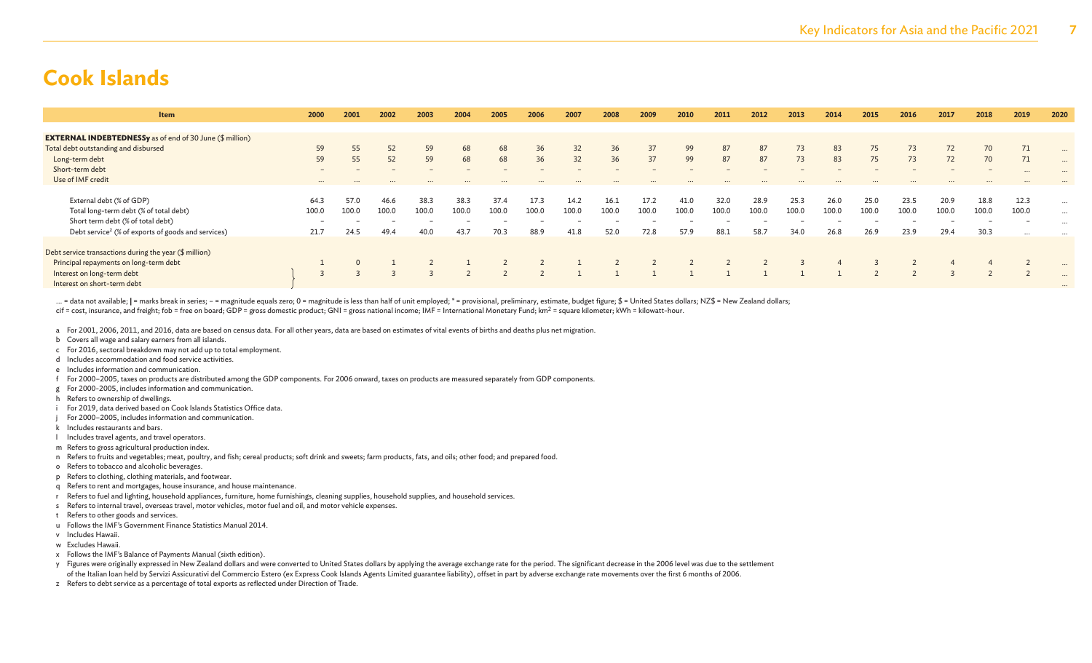| Item                                                            | 2000                     | 2001  | 2002  | 2003     | 2004  | 2005  | 2006  | 2007  | 2008  | 2009  | 2010  | 2011  | 2012  | 2013  | 2014  | 2015  | 2016  | 2017  | 2018  | 2019                     | 2020     |
|-----------------------------------------------------------------|--------------------------|-------|-------|----------|-------|-------|-------|-------|-------|-------|-------|-------|-------|-------|-------|-------|-------|-------|-------|--------------------------|----------|
|                                                                 |                          |       |       |          |       |       |       |       |       |       |       |       |       |       |       |       |       |       |       |                          |          |
| <b>EXTERNAL INDEBTEDNESSy</b> as of end of 30 June (\$ million) |                          |       |       |          |       |       |       |       |       |       |       |       |       |       |       |       |       |       |       |                          |          |
| Total debt outstanding and disbursed                            | 59                       | 55    | 52    | 59       | 68    | 68    | 36    | 32    | 36    | 37    | 99    | 87    | 87    | 73    | 83    | 75    | 73    | 72    | 70    | 71                       |          |
| Long-term debt                                                  | 59                       | 55    | 52    | 59       | 68    | 68    | 36    | 32    | 36    | 37    | 99    | 87    | 87    | 73    | 83    | 75    | 73    | 72    | 70    | 71                       | $\cdots$ |
| Short-term debt                                                 | $\overline{\phantom{0}}$ |       |       |          |       |       |       |       |       |       |       |       |       |       |       |       |       |       | $-$   | $\cdots$                 | $\cdots$ |
| Use of IMF credit                                               | $\cdots$                 |       |       | $\cdots$ |       |       |       |       |       |       |       |       |       |       |       |       |       |       |       |                          |          |
|                                                                 |                          |       |       |          |       |       |       |       |       |       |       |       |       |       |       |       |       |       |       |                          |          |
| External debt (% of GDP)                                        | 64.3                     | 57.0  | 46.6  | 38.3     | 38.3  | 37.4  | 17.3  | 14.2  | 16.1  | 17.2  | 41.0  | 32.0  | 28.9  | 25.3  | 26.0  | 25.0  | 23.5  | 20.9  | 18.8  | 12.3                     |          |
| Total long-term debt (% of total debt)                          | 100.0                    | 100.0 | 100.0 | 100.0    | 100.0 | 100.0 | 100.0 | 100.0 | 100.0 | 100.0 | 100.0 | 100.0 | 100.0 | 100.0 | 100.0 | 100.0 | 100.0 | 100.0 | 100.0 | 100.0                    | $\cdots$ |
| Short term debt (% of total debt)                               | $\overline{\phantom{a}}$ |       |       |          |       |       |       |       |       |       |       |       |       |       |       |       |       |       |       | $\overline{\phantom{a}}$ | $\cdots$ |
| Debt service <sup>z</sup> (% of exports of goods and services)  | 21.7                     | 24.5  | 49.4  | 40.0     | 43.7  | 70.3  | 88.9  | 41.8  | 52.0  | 72.8  | 57.9  | 88.1  | 58.7  | 34.0  | 26.8  | 26.9  | 23.9  | 29.4  | 30.3  | $\cdots$                 |          |
|                                                                 |                          |       |       |          |       |       |       |       |       |       |       |       |       |       |       |       |       |       |       |                          |          |
| Debt service transactions during the year (\$ million)          |                          |       |       |          |       |       |       |       |       |       |       |       |       |       |       |       |       |       |       |                          |          |
| Principal repayments on long-term debt                          |                          |       |       |          |       |       |       |       |       |       |       |       |       |       |       |       |       |       |       |                          | $\cdots$ |
| Interest on long-term debt                                      |                          |       |       |          |       |       |       |       |       |       |       |       |       |       |       |       |       |       |       |                          |          |
| Interest on short-term debt                                     |                          |       |       |          |       |       |       |       |       |       |       |       |       |       |       |       |       |       |       |                          | $\cdots$ |

... = data not available; | = marks break in series; - = magnitude equals zero; 0 = magnitude is less than half of unit employed; \* = provisional, preliminary, estimate, budget figure; \$ = United States dollars; NZ\$ = New cif = cost, insurance, and freight; fob = free on board; GDP = gross domestic product; GNI = gross national income; IMF = International Monetary Fund; km<sup>2</sup> = square kilometer; kWh = kilowatt-hour.

a For 2001, 2006, 2011, and 2016, data are based on census data. For all other years, data are based on estimates of vital events of births and deaths plus net migration.

- b Covers all wage and salary earners from all islands.
- c For 2016, sectoral breakdown may not add up to total employment.
- d Includes accommodation and food service activities.
- e Includes information and communication.
- f For 2000–2005, taxes on products are distributed among the GDP components. For 2006 onward, taxes on products are measured separately from GDP components.
- g For 2000-2005, includes information and communication.
- h Refers to ownership of dwellings.
- i For 2019, data derived based on Cook Islands Statistics Office data.
- For 2000–2005, includes information and communication.
- k Includes restaurants and bars.
- l Includes travel agents, and travel operators.
- m Refers to gross agricultural production index.
- n Refers to fruits and vegetables; meat, poultry, and fish; cereal products; soft drink and sweets; farm products, fats, and oils; other food; and prepared food.
- o Refers to tobacco and alcoholic beverages.
- p Refers to clothing, clothing materials, and footwear.
- q Refers to rent and mortgages, house insurance, and house maintenance.
- r Refers to fuel and lighting, household appliances, furniture, home furnishings, cleaning supplies, household supplies, and household services.
- s Refers to internal travel, overseas travel, motor vehicles, motor fuel and oil, and motor vehicle expenses.
- t Refers to other goods and services.
- u Follows the IMF's Government Finance Statistics Manual 2014.
- v Includes Hawaii.
- w Excludes Hawaii.
- x Follows the IMF's Balance of Payments Manual (sixth edition).
- y Figures were originally expressed in New Zealand dollars and were converted to United States dollars by applying the average exchange rate for the period. The significant decrease in the 2006 level was due to the settlem of the Italian loan held by Servizi Assicurativi del Commercio Estero (ex Express Cook Islands Agents Limited guarantee liability), offset in part by adverse exchange rate movements over the first 6 months of 2006.
- z Refers to debt service as a percentage of total exports as reflected under Direction of Trade.